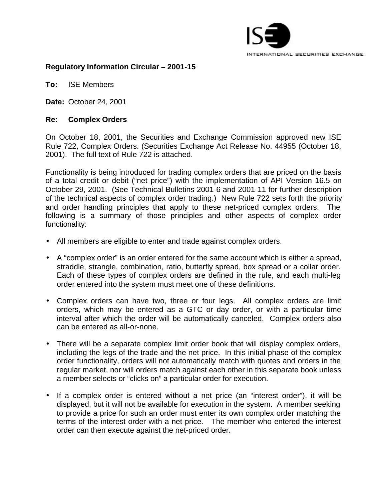

## **Regulatory Information Circular – 2001-15**

**To:** ISE Members

**Date:** October 24, 2001

## **Re: Complex Orders**

On October 18, 2001, the Securities and Exchange Commission approved new ISE Rule 722, Complex Orders. (Securities Exchange Act Release No. 44955 (October 18, 2001). The full text of Rule 722 is attached.

Functionality is being introduced for trading complex orders that are priced on the basis of a total credit or debit ("net price") with the implementation of API Version 16.5 on October 29, 2001. (See Technical Bulletins 2001-6 and 2001-11 for further description of the technical aspects of complex order trading.) New Rule 722 sets forth the priority and order handling principles that apply to these net-priced complex orders. The following is a summary of those principles and other aspects of complex order functionality:

- All members are eligible to enter and trade against complex orders.
- A "complex order" is an order entered for the same account which is either a spread, straddle, strangle, combination, ratio, butterfly spread, box spread or a collar order. Each of these types of complex orders are defined in the rule, and each multi-leg order entered into the system must meet one of these definitions.
- Complex orders can have two, three or four legs. All complex orders are limit orders, which may be entered as a GTC or day order, or with a particular time interval after which the order will be automatically canceled. Complex orders also can be entered as all-or-none.
- There will be a separate complex limit order book that will display complex orders, including the legs of the trade and the net price. In this initial phase of the complex order functionality, orders will not automatically match with quotes and orders in the regular market, nor will orders match against each other in this separate book unless a member selects or "clicks on" a particular order for execution.
- If a complex order is entered without a net price (an "interest order"), it will be displayed, but it will not be available for execution in the system. A member seeking to provide a price for such an order must enter its own complex order matching the terms of the interest order with a net price. The member who entered the interest order can then execute against the net-priced order.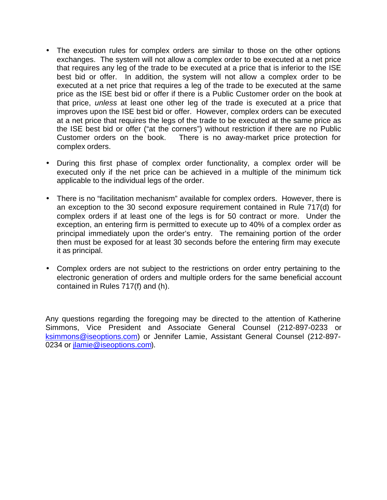- The execution rules for complex orders are similar to those on the other options exchanges. The system will not allow a complex order to be executed at a net price that requires any leg of the trade to be executed at a price that is inferior to the ISE best bid or offer. In addition, the system will not allow a complex order to be executed at a net price that requires a leg of the trade to be executed at the same price as the ISE best bid or offer if there is a Public Customer order on the book at that price, *unless* at least one other leg of the trade is executed at a price that improves upon the ISE best bid or offer. However, complex orders can be executed at a net price that requires the legs of the trade to be executed at the same price as the ISE best bid or offer ("at the corners") without restriction if there are no Public Customer orders on the book. There is no away-market price protection for complex orders.
- During this first phase of complex order functionality, a complex order will be executed only if the net price can be achieved in a multiple of the minimum tick applicable to the individual legs of the order.
- There is no "facilitation mechanism" available for complex orders. However, there is an exception to the 30 second exposure requirement contained in Rule 717(d) for complex orders if at least one of the legs is for 50 contract or more. Under the exception, an entering firm is permitted to execute up to 40% of a complex order as principal immediately upon the order's entry. The remaining portion of the order then must be exposed for at least 30 seconds before the entering firm may execute it as principal.
- Complex orders are not subject to the restrictions on order entry pertaining to the electronic generation of orders and multiple orders for the same beneficial account contained in Rules 717(f) and (h).

Any questions regarding the foregoing may be directed to the attention of Katherine Simmons, Vice President and Associate General Counsel (212-897-0233 or ksimmons@iseoptions.com) or Jennifer Lamie, Assistant General Counsel (212-897- 0234 or jlamie@iseoptions.com).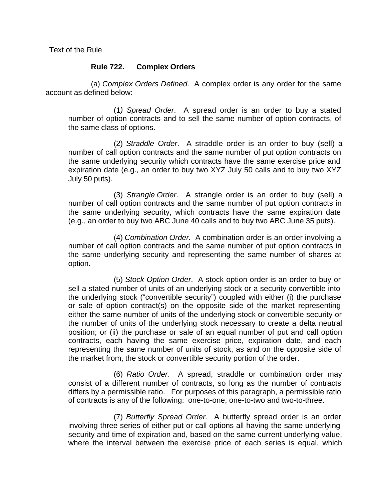## **Rule 722. Complex Orders**

(a) *Complex Orders Defined.* A complex order is any order for the same account as defined below:

(1*) Spread Order*. A spread order is an order to buy a stated number of option contracts and to sell the same number of option contracts, of the same class of options.

(2) *Straddle Order*. A straddle order is an order to buy (sell) a number of call option contracts and the same number of put option contracts on the same underlying security which contracts have the same exercise price and expiration date (e.g., an order to buy two XYZ July 50 calls and to buy two XYZ July 50 puts).

(3) *Strangle Order*. A strangle order is an order to buy (sell) a number of call option contracts and the same number of put option contracts in the same underlying security, which contracts have the same expiration date (e.g., an order to buy two ABC June 40 calls and to buy two ABC June 35 puts).

(4) *Combination Order.* A combination order is an order involving a number of call option contracts and the same number of put option contracts in the same underlying security and representing the same number of shares at option.

(5) *Stock-Option Order*. A stock-option order is an order to buy or sell a stated number of units of an underlying stock or a security convertible into the underlying stock ("convertible security") coupled with either (i) the purchase or sale of option contract(s) on the opposite side of the market representing either the same number of units of the underlying stock or convertible security or the number of units of the underlying stock necessary to create a delta neutral position; or (ii) the purchase or sale of an equal number of put and call option contracts, each having the same exercise price, expiration date, and each representing the same number of units of stock, as and on the opposite side of the market from, the stock or convertible security portion of the order.

(6) *Ratio Order*. A spread, straddle or combination order may consist of a different number of contracts, so long as the number of contracts differs by a permissible ratio. For purposes of this paragraph, a permissible ratio of contracts is any of the following: one-to-one, one-to-two and two-to-three.

(7) *Butterfly Spread Order.* A butterfly spread order is an order involving three series of either put or call options all having the same underlying security and time of expiration and, based on the same current underlying value, where the interval between the exercise price of each series is equal, which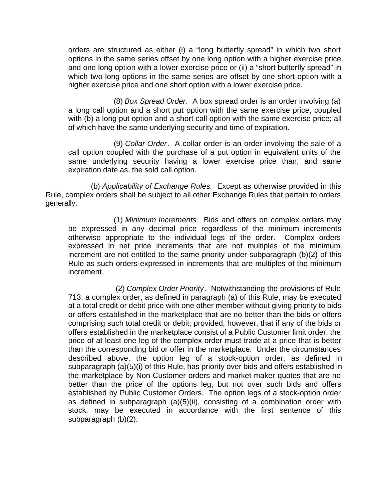orders are structured as either (i) a "long butterfly spread" in which two short options in the same series offset by one long option with a higher exercise price and one long option with a lower exercise price or (ii) a "short butterfly spread" in which two long options in the same series are offset by one short option with a higher exercise price and one short option with a lower exercise price.

(8) *Box Spread Order.* A box spread order is an order involving (a) a long call option and a short put option with the same exercise price, coupled with (b) a long put option and a short call option with the same exercise price; all of which have the same underlying security and time of expiration.

(9) *Collar Order*. A collar order is an order involving the sale of a call option coupled with the purchase of a put option in equivalent units of the same underlying security having a lower exercise price than, and same expiration date as, the sold call option.

(b) *Applicability of Exchange Rules.* Except as otherwise provided in this Rule, complex orders shall be subject to all other Exchange Rules that pertain to orders generally.

(1) *Minimum Increments.* Bids and offers on complex orders may be expressed in any decimal price regardless of the minimum increments otherwise appropriate to the individual legs of the order. Complex orders expressed in net price increments that are not multiples of the minimum increment are not entitled to the same priority under subparagraph (b)(2) of this Rule as such orders expressed in increments that are multiples of the minimum increment.

 (2) *Complex Order Priority*. Notwithstanding the provisions of Rule 713, a complex order, as defined in paragraph (a) of this Rule, may be executed at a total credit or debit price with one other member without giving priority to bids or offers established in the marketplace that are no better than the bids or offers comprising such total credit or debit; provided, however, that if any of the bids or offers established in the marketplace consist of a Public Customer limit order, the price of at least one leg of the complex order must trade at a price that is better than the corresponding bid or offer in the marketplace. Under the circumstances described above, the option leg of a stock-option order, as defined in subparagraph (a)(5)(i) of this Rule, has priority over bids and offers established in the marketplace by Non-Customer orders and market maker quotes that are no better than the price of the options leg, but not over such bids and offers established by Public Customer Orders. The option legs of a stock-option order as defined in subparagraph (a)(5)(ii), consisting of a combination order with stock, may be executed in accordance with the first sentence of this subparagraph (b)(2).